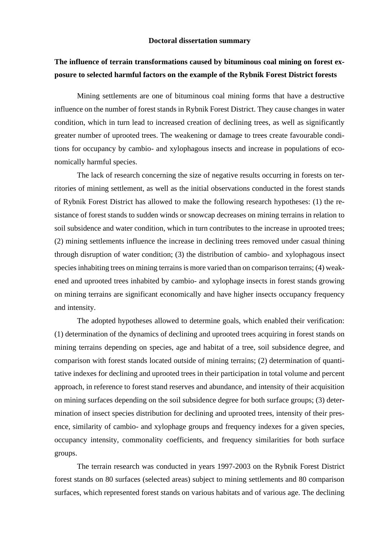## **Doctoral dissertation summary**

## **The influence of terrain transformations caused by bituminous coal mining on forest exposure to selected harmful factors on the example of the Rybnik Forest District forests**

Mining settlements are one of bituminous coal mining forms that have a destructive influence on the number of forest stands in Rybnik Forest District. They cause changes in water condition, which in turn lead to increased creation of declining trees, as well as significantly greater number of uprooted trees. The weakening or damage to trees create favourable conditions for occupancy by cambio- and xylophagous insects and increase in populations of economically harmful species.

The lack of research concerning the size of negative results occurring in forests on territories of mining settlement, as well as the initial observations conducted in the forest stands of Rybnik Forest District has allowed to make the following research hypotheses: (1) the resistance of forest stands to sudden winds or snowcap decreases on mining terrains in relation to soil subsidence and water condition, which in turn contributes to the increase in uprooted trees; (2) mining settlements influence the increase in declining trees removed under casual thining through disruption of water condition; (3) the distribution of cambio- and xylophagous insect species inhabiting trees on mining terrains is more varied than on comparison terrains; (4) weakened and uprooted trees inhabited by cambio- and xylophage insects in forest stands growing on mining terrains are significant economically and have higher insects occupancy frequency and intensity.

The adopted hypotheses allowed to determine goals, which enabled their verification: (1) determination of the dynamics of declining and uprooted trees acquiring in forest stands on mining terrains depending on species, age and habitat of a tree, soil subsidence degree, and comparison with forest stands located outside of mining terrains; (2) determination of quantitative indexes for declining and uprooted trees in their participation in total volume and percent approach, in reference to forest stand reserves and abundance, and intensity of their acquisition on mining surfaces depending on the soil subsidence degree for both surface groups; (3) determination of insect species distribution for declining and uprooted trees, intensity of their presence, similarity of cambio- and xylophage groups and frequency indexes for a given species, occupancy intensity, commonality coefficients, and frequency similarities for both surface groups.

The terrain research was conducted in years 1997-2003 on the Rybnik Forest District forest stands on 80 surfaces (selected areas) subject to mining settlements and 80 comparison surfaces, which represented forest stands on various habitats and of various age. The declining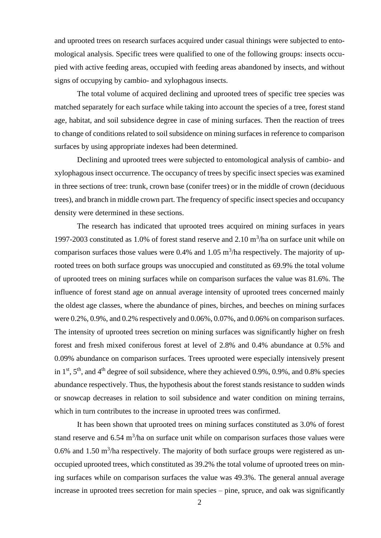and uprooted trees on research surfaces acquired under casual thinings were subjected to entomological analysis. Specific trees were qualified to one of the following groups: insects occupied with active feeding areas, occupied with feeding areas abandoned by insects, and without signs of occupying by cambio- and xylophagous insects.

The total volume of acquired declining and uprooted trees of specific tree species was matched separately for each surface while taking into account the species of a tree, forest stand age, habitat, and soil subsidence degree in case of mining surfaces. Then the reaction of trees to change of conditions related to soil subsidence on mining surfaces in reference to comparison surfaces by using appropriate indexes had been determined.

Declining and uprooted trees were subjected to entomological analysis of cambio- and xylophagous insect occurrence. The occupancy of trees by specific insect species was examined in three sections of tree: trunk, crown base (conifer trees) or in the middle of crown (deciduous trees), and branch in middle crown part. The frequency of specific insect species and occupancy density were determined in these sections.

The research has indicated that uprooted trees acquired on mining surfaces in years 1997-2003 constituted as 1.0% of forest stand reserve and  $2.10 \text{ m}^3/\text{ha}$  on surface unit while on comparison surfaces those values were 0.4% and 1.05  $\text{m}^3$ /ha respectively. The majority of uprooted trees on both surface groups was unoccupied and constituted as 69.9% the total volume of uprooted trees on mining surfaces while on comparison surfaces the value was 81.6%. The influence of forest stand age on annual average intensity of uprooted trees concerned mainly the oldest age classes, where the abundance of pines, birches, and beeches on mining surfaces were 0.2%, 0.9%, and 0.2% respectively and 0.06%, 0.07%, and 0.06% on comparison surfaces. The intensity of uprooted trees secretion on mining surfaces was significantly higher on fresh forest and fresh mixed coniferous forest at level of 2.8% and 0.4% abundance at 0.5% and 0.09% abundance on comparison surfaces. Trees uprooted were especially intensively present in  $1<sup>st</sup>$ ,  $5<sup>th</sup>$ , and  $4<sup>th</sup>$  degree of soil subsidence, where they achieved 0.9%, 0.9%, and 0.8% species abundance respectively. Thus, the hypothesis about the forest stands resistance to sudden winds or snowcap decreases in relation to soil subsidence and water condition on mining terrains, which in turn contributes to the increase in uprooted trees was confirmed.

It has been shown that uprooted trees on mining surfaces constituted as 3.0% of forest stand reserve and  $6.54 \text{ m}^3/\text{ha}$  on surface unit while on comparison surfaces those values were 0.6% and 1.50  $\text{m}^3$ /ha respectively. The majority of both surface groups were registered as unoccupied uprooted trees, which constituted as 39.2% the total volume of uprooted trees on mining surfaces while on comparison surfaces the value was 49.3%. The general annual average increase in uprooted trees secretion for main species – pine, spruce, and oak was significantly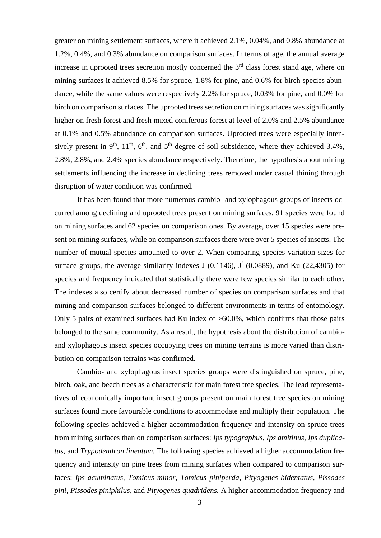greater on mining settlement surfaces, where it achieved 2.1%, 0.04%, and 0.8% abundance at 1.2%, 0.4%, and 0.3% abundance on comparison surfaces. In terms of age, the annual average increase in uprooted trees secretion mostly concerned the  $3<sup>rd</sup>$  class forest stand age, where on mining surfaces it achieved 8.5% for spruce, 1.8% for pine, and 0.6% for birch species abundance, while the same values were respectively 2.2% for spruce, 0.03% for pine, and 0.0% for birch on comparison surfaces. The uprooted trees secretion on mining surfaces was significantly higher on fresh forest and fresh mixed coniferous forest at level of 2.0% and 2.5% abundance at 0.1% and 0.5% abundance on comparison surfaces. Uprooted trees were especially intensively present in 9<sup>th</sup>, 11<sup>th</sup>, 6<sup>th</sup>, and 5<sup>th</sup> degree of soil subsidence, where they achieved 3.4%, 2.8%, 2.8%, and 2.4% species abundance respectively. Therefore, the hypothesis about mining settlements influencing the increase in declining trees removed under casual thining through disruption of water condition was confirmed.

It has been found that more numerous cambio- and xylophagous groups of insects occurred among declining and uprooted trees present on mining surfaces. 91 species were found on mining surfaces and 62 species on comparison ones. By average, over 15 species were present on mining surfaces, while on comparison surfaces there were over 5 species of insects. The number of mutual species amounted to over 2. When comparing species variation sizes for surface groups, the average similarity indexes J  $(0.1146)$ , J  $(0.0889)$ , and Ku  $(22,4305)$  for species and frequency indicated that statistically there were few species similar to each other. The indexes also certify about decreased number of species on comparison surfaces and that mining and comparison surfaces belonged to different environments in terms of entomology. Only 5 pairs of examined surfaces had Ku index of >60.0%, which confirms that those pairs belonged to the same community. As a result, the hypothesis about the distribution of cambioand xylophagous insect species occupying trees on mining terrains is more varied than distribution on comparison terrains was confirmed.

Cambio- and xylophagous insect species groups were distinguished on spruce, pine, birch, oak, and beech trees as a characteristic for main forest tree species. The lead representatives of economically important insect groups present on main forest tree species on mining surfaces found more favourable conditions to accommodate and multiply their population. The following species achieved a higher accommodation frequency and intensity on spruce trees from mining surfaces than on comparison surfaces: *Ips typographus*, *Ips amitinus*, *Ips duplicatus*, and *Trypodendron lineatum.* The following species achieved a higher accommodation frequency and intensity on pine trees from mining surfaces when compared to comparison surfaces: *Ips acuminatus*, *Tomicus minor*, *Tomicus piniperda*, *Pityogenes bidentatus*, *Pissodes pini*, *Pissodes piniphilus*, and *Pityogenes quadridens.* A higher accommodation frequency and